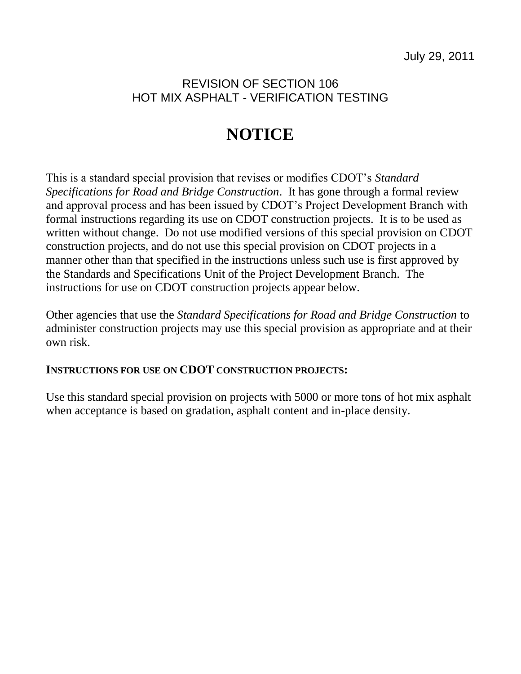## REVISION OF SECTION 106 HOT MIX ASPHALT - VERIFICATION TESTING

# **NOTICE**

This is a standard special provision that revises or modifies CDOT's *Standard Specifications for Road and Bridge Construction*. It has gone through a formal review and approval process and has been issued by CDOT's Project Development Branch with formal instructions regarding its use on CDOT construction projects. It is to be used as written without change. Do not use modified versions of this special provision on CDOT construction projects, and do not use this special provision on CDOT projects in a manner other than that specified in the instructions unless such use is first approved by the Standards and Specifications Unit of the Project Development Branch. The instructions for use on CDOT construction projects appear below.

Other agencies that use the *Standard Specifications for Road and Bridge Construction* to administer construction projects may use this special provision as appropriate and at their own risk.

## **INSTRUCTIONS FOR USE ON CDOT CONSTRUCTION PROJECTS:**

Use this standard special provision on projects with 5000 or more tons of hot mix asphalt when acceptance is based on gradation, asphalt content and in-place density.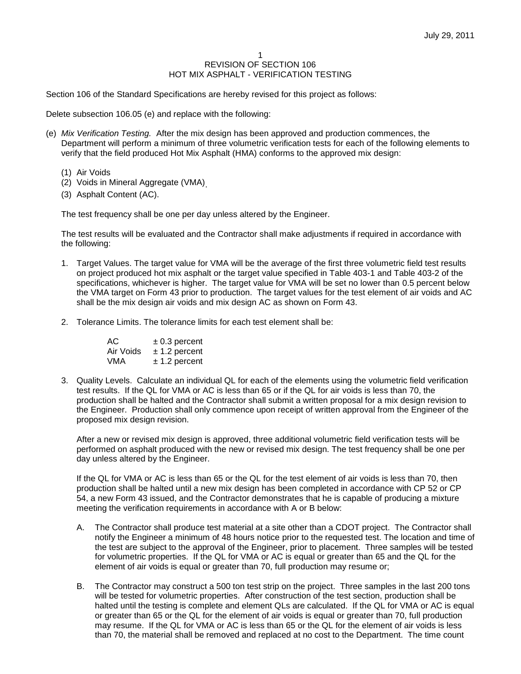#### 1 REVISION OF SECTION 106 HOT MIX ASPHALT - VERIFICATION TESTING

Section 106 of the Standard Specifications are hereby revised for this project as follows:

Delete subsection 106.05 (e) and replace with the following:

- (e) *Mix Verification Testing.* After the mix design has been approved and production commences, the Department will perform a minimum of three volumetric verification tests for each of the following elements to verify that the field produced Hot Mix Asphalt (HMA) conforms to the approved mix design:
	- (1) Air Voids
	- (2) Voids in Mineral Aggregate (VMA) .
	- (3) Asphalt Content (AC).

The test frequency shall be one per day unless altered by the Engineer.

The test results will be evaluated and the Contractor shall make adjustments if required in accordance with the following:

- 1. Target Values. The target value for VMA will be the average of the first three volumetric field test results on project produced hot mix asphalt or the target value specified in Table 403-1 and Table 403-2 of the specifications, whichever is higher. The target value for VMA will be set no lower than 0.5 percent below the VMA target on Form 43 prior to production. The target values for the test element of air voids and AC shall be the mix design air voids and mix design AC as shown on Form 43.
- 2. Tolerance Limits. The tolerance limits for each test element shall be:

| AC.       | $\pm$ 0.3 percent |
|-----------|-------------------|
| Air Voids | $± 1.2$ percent   |
| VMA       | $± 1.2$ percent   |

3. Quality Levels. Calculate an individual QL for each of the elements using the volumetric field verification test results. If the QL for VMA or AC is less than 65 or if the QL for air voids is less than 70, the production shall be halted and the Contractor shall submit a written proposal for a mix design revision to the Engineer. Production shall only commence upon receipt of written approval from the Engineer of the proposed mix design revision.

After a new or revised mix design is approved, three additional volumetric field verification tests will be performed on asphalt produced with the new or revised mix design. The test frequency shall be one per day unless altered by the Engineer.

If the QL for VMA or AC is less than 65 or the QL for the test element of air voids is less than 70, then production shall be halted until a new mix design has been completed in accordance with CP 52 or CP 54, a new Form 43 issued, and the Contractor demonstrates that he is capable of producing a mixture meeting the verification requirements in accordance with A or B below:

- A. The Contractor shall produce test material at a site other than a CDOT project. The Contractor shall notify the Engineer a minimum of 48 hours notice prior to the requested test. The location and time of the test are subject to the approval of the Engineer, prior to placement. Three samples will be tested for volumetric properties. If the QL for VMA or AC is equal or greater than 65 and the QL for the element of air voids is equal or greater than 70, full production may resume or;
- B. The Contractor may construct a 500 ton test strip on the project. Three samples in the last 200 tons will be tested for volumetric properties. After construction of the test section, production shall be halted until the testing is complete and element QLs are calculated. If the QL for VMA or AC is equal or greater than 65 or the QL for the element of air voids is equal or greater than 70, full production may resume. If the QL for VMA or AC is less than 65 or the QL for the element of air voids is less than 70, the material shall be removed and replaced at no cost to the Department. The time count